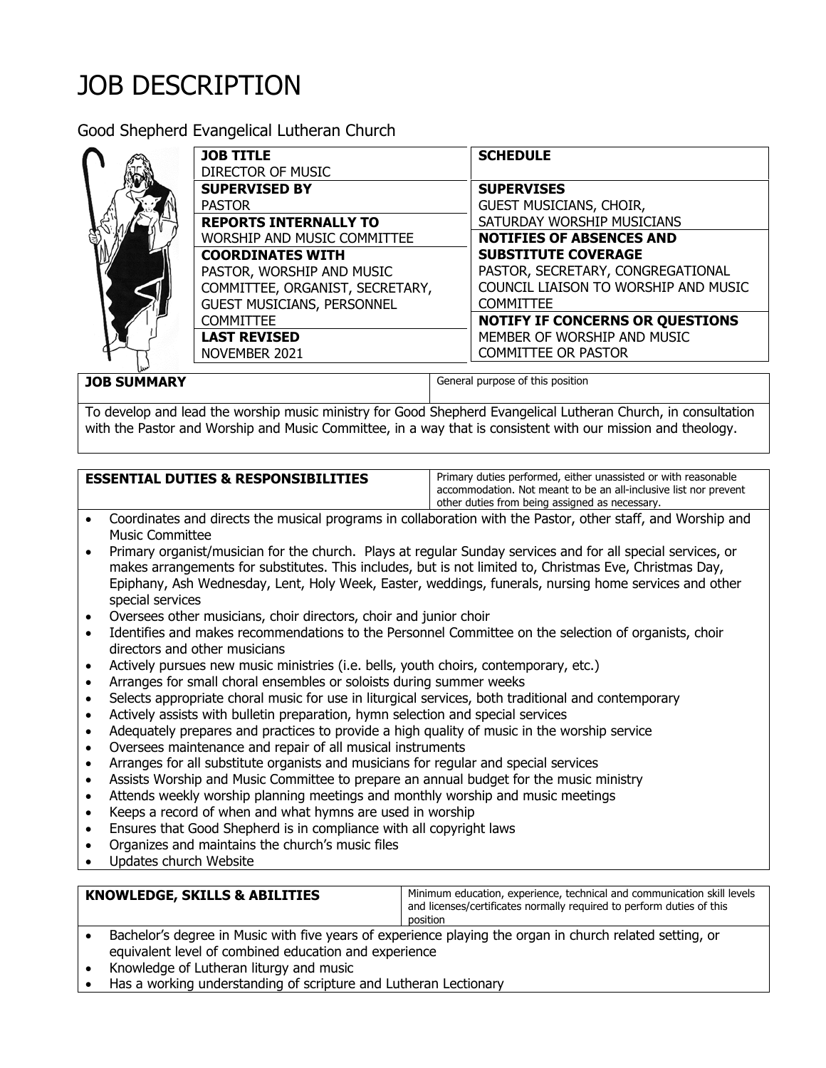## JOB DESCRIPTION

Good Shepherd Evangelical Lutheran Church

| <b>JOB TITLE</b><br>DIRECTOR OF MUSIC                                                                                                                                                                                                                    | <b>SCHEDULE</b>                                                                                                                                                                                                                                                                        |
|----------------------------------------------------------------------------------------------------------------------------------------------------------------------------------------------------------------------------------------------------------|----------------------------------------------------------------------------------------------------------------------------------------------------------------------------------------------------------------------------------------------------------------------------------------|
| <b>SUPERVISED BY</b><br><b>PASTOR</b><br><b>REPORTS INTERNALLY TO</b><br>WORSHIP AND MUSIC COMMITTEE<br><b>COORDINATES WITH</b><br>PASTOR, WORSHIP AND MUSIC<br>COMMITTEE, ORGANIST, SECRETARY,<br><b>GUEST MUSICIANS, PERSONNEL</b><br><b>COMMITTEE</b> | <b>SUPERVISES</b><br>GUEST MUSICIANS, CHOIR,<br>SATURDAY WORSHIP MUSICIANS<br><b>NOTIFIES OF ABSENCES AND</b><br><b>SUBSTITUTE COVERAGE</b><br>PASTOR, SECRETARY, CONGREGATIONAL<br>COUNCIL LIAISON TO WORSHIP AND MUSIC<br><b>COMMITTEE</b><br><b>NOTIFY IF CONCERNS OR QUESTIONS</b> |
| <b>LAST REVISED</b><br>NOVEMBER 2021                                                                                                                                                                                                                     | MEMBER OF WORSHIP AND MUSIC<br><b>COMMITTEE OR PASTOR</b>                                                                                                                                                                                                                              |

**JOB SUMMARY General purpose of this position** 

To develop and lead the worship music ministry for Good Shepherd Evangelical Lutheran Church, in consultation with the Pastor and Worship and Music Committee, in a way that is consistent with our mission and theology.

## **ESSENTIAL DUTIES & RESPONSIBILITIES** | Primary duties performed, either unassisted or with reasonable

accommodation. Not meant to be an all-inclusive list nor prevent other duties from being assigned as necessary.

- Coordinates and directs the musical programs in collaboration with the Pastor, other staff, and Worship and Music Committee
- Primary organist/musician for the church. Plays at regular Sunday services and for all special services, or makes arrangements for substitutes. This includes, but is not limited to, Christmas Eve, Christmas Day, Epiphany, Ash Wednesday, Lent, Holy Week, Easter, weddings, funerals, nursing home services and other special services
- Oversees other musicians, choir directors, choir and junior choir
- Identifies and makes recommendations to the Personnel Committee on the selection of organists, choir directors and other musicians
- Actively pursues new music ministries (i.e. bells, youth choirs, contemporary, etc.)
- Arranges for small choral ensembles or soloists during summer weeks
- Selects appropriate choral music for use in liturgical services, both traditional and contemporary
- Actively assists with bulletin preparation, hymn selection and special services
- Adequately prepares and practices to provide a high quality of music in the worship service
- Oversees maintenance and repair of all musical instruments
- Arranges for all substitute organists and musicians for regular and special services
- Assists Worship and Music Committee to prepare an annual budget for the music ministry
- Attends weekly worship planning meetings and monthly worship and music meetings
- Keeps a record of when and what hymns are used in worship
- Ensures that Good Shepherd is in compliance with all copyright laws
- Organizes and maintains the church's music files
- Updates church Website

| <b>KNOWLEDGE, SKILLS &amp; ABILITIES</b>                                                                | Minimum education, experience, technical and communication skill levels<br>and licenses/certificates normally required to perform duties of this<br>position |
|---------------------------------------------------------------------------------------------------------|--------------------------------------------------------------------------------------------------------------------------------------------------------------|
| Bachelor's degree in Music with five years of experience playing the organ in church related setting or |                                                                                                                                                              |

- $\epsilon$  in Music with five years of experience playing the organ in chur equivalent level of combined education and experience
- Knowledge of Lutheran liturgy and music
- Has a working understanding of scripture and Lutheran Lectionary